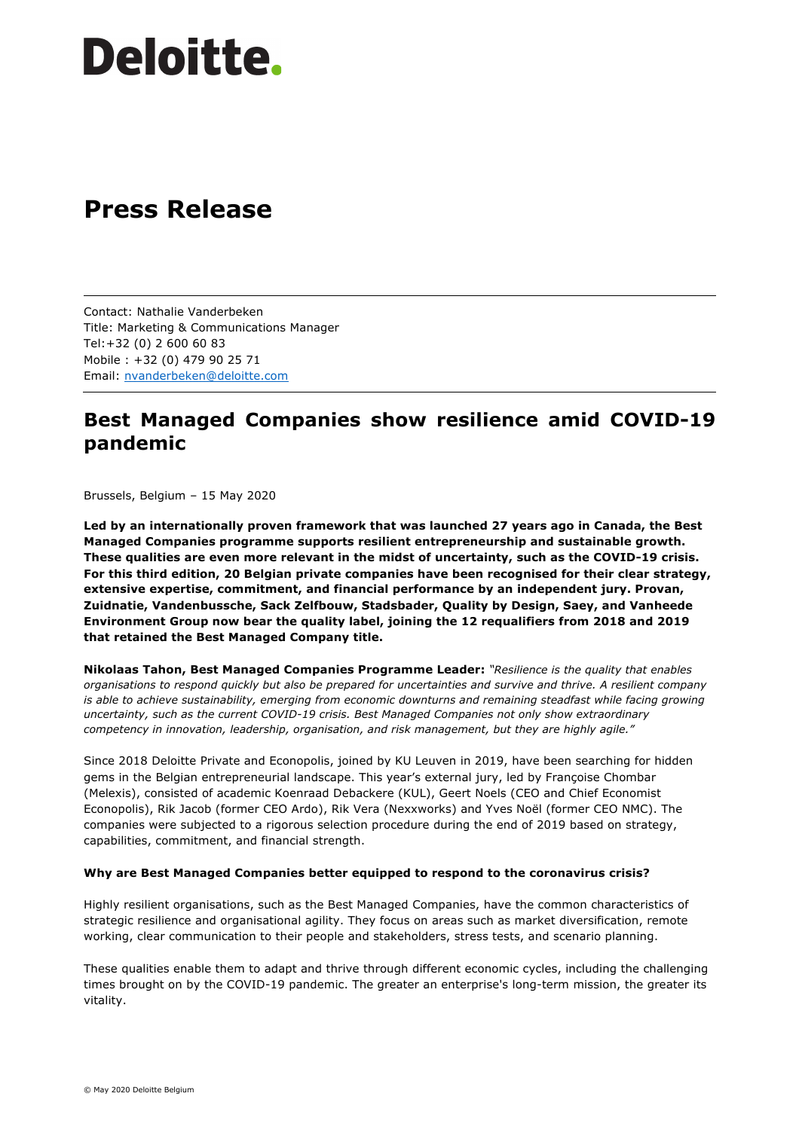# **Deloitte.**

### **Press Release**

Contact: Nathalie Vanderbeken Title: Marketing & Communications Manager Tel:+32 (0) 2 600 60 83 Mobile : +32 (0) 479 90 25 71 Email: nvanderbeken@deloitte.com

### **Best Managed Companies show resilience amid COVID-19 pandemic**

Brussels, Belgium – 15 May 2020

**Led by an internationally proven framework that was launched 27 years ago in Canada, the Best Managed Companies programme supports resilient entrepreneurship and sustainable growth. These qualities are even more relevant in the midst of uncertainty, such as the COVID-19 crisis. For this third edition, 20 Belgian private companies have been recognised for their clear strategy, extensive expertise, commitment, and financial performance by an independent jury. Provan, Zuidnatie, Vandenbussche, Sack Zelfbouw, Stadsbader, Quality by Design, Saey, and Vanheede Environment Group now bear the quality label, joining the 12 requalifiers from 2018 and 2019 that retained the Best Managed Company title.**

**Nikolaas Tahon, Best Managed Companies Programme Leader:** *"Resilience is the quality that enables organisations to respond quickly but also be prepared for uncertainties and survive and thrive. A resilient company is able to achieve sustainability, emerging from economic downturns and remaining steadfast while facing growing uncertainty, such as the current COVID-19 crisis. Best Managed Companies not only show extraordinary competency in innovation, leadership, organisation, and risk management, but they are highly agile."* 

Since 2018 Deloitte Private and Econopolis, joined by KU Leuven in 2019, have been searching for hidden gems in the Belgian entrepreneurial landscape. This year's external jury, led by Françoise Chombar (Melexis), consisted of academic Koenraad Debackere (KUL), Geert Noels (CEO and Chief Economist Econopolis), Rik Jacob (former CEO Ardo), Rik Vera (Nexxworks) and Yves Noël (former CEO NMC). The companies were subjected to a rigorous selection procedure during the end of 2019 based on strategy, capabilities, commitment, and financial strength.

#### **Why are Best Managed Companies better equipped to respond to the coronavirus crisis?**

Highly resilient organisations, such as the Best Managed Companies, have the common characteristics of strategic resilience and organisational agility. They focus on areas such as market diversification, remote working, clear communication to their people and stakeholders, stress tests, and scenario planning.

These qualities enable them to adapt and thrive through different economic cycles, including the challenging times brought on by the COVID-19 pandemic. The greater an enterprise's long-term mission, the greater its vitality.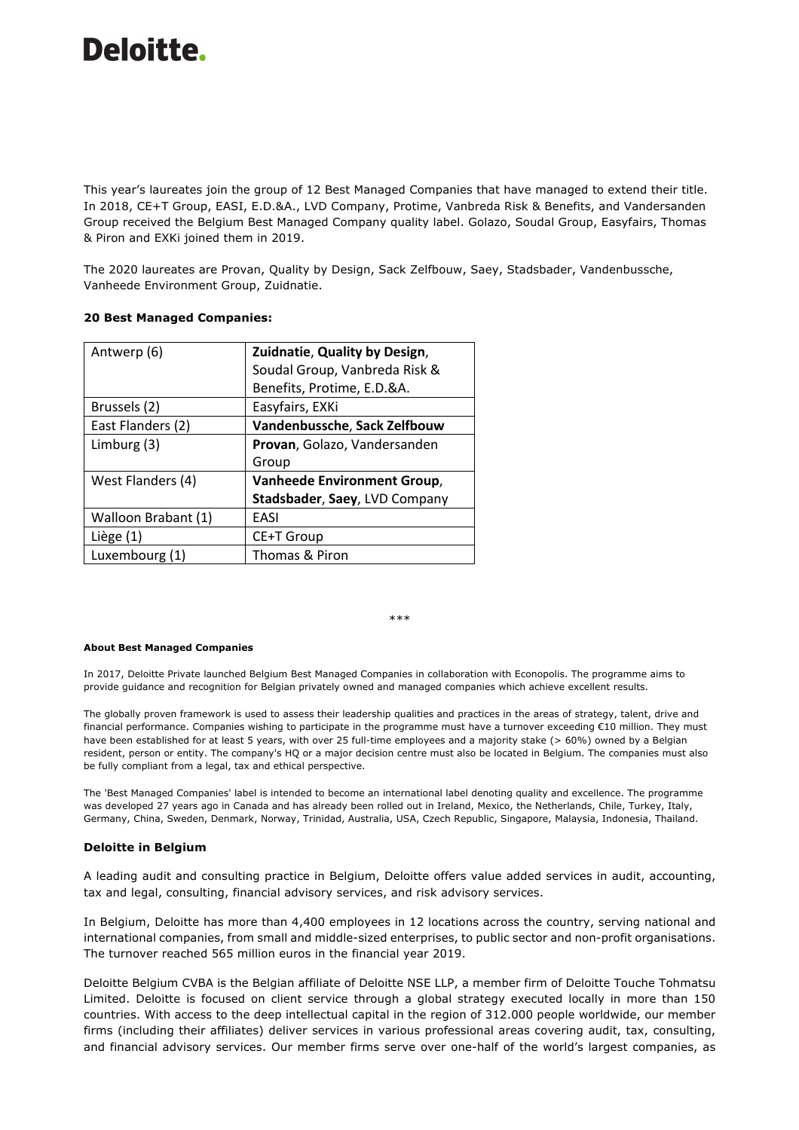# Deloitte.

This year's laureates join the group of 12 Best Managed Companies that have managed to extend their title. In 2018, CE+T Group, EASI, E.D.&A., LVD Company, Protime, Vanbreda Risk & Benefits, and Vandersanden Group received the Belgium Best Managed Company quality label. Golazo, Soudal Group, Easyfairs, Thomas & Piron and EXKi joined them in 2019.

The 2020 laureates are Provan, Quality by Design, Sack Zelfbouw, Saey, Stadsbader, Vandenbussche, Vanheede Environment Group, Zuidnatie.

#### **20 Best Managed Companies:**

| Antwerp (6)         | Zuidnatie, Quality by Design,      |
|---------------------|------------------------------------|
|                     | Soudal Group, Vanbreda Risk &      |
|                     | Benefits, Protime, E.D.&A.         |
| Brussels (2)        | Easyfairs, EXKi                    |
| East Flanders (2)   | Vandenbussche, Sack Zelfbouw       |
| Limburg (3)         | Provan, Golazo, Vandersanden       |
|                     | Group                              |
| West Flanders (4)   | <b>Vanheede Environment Group,</b> |
|                     | Stadsbader, Saey, LVD Company      |
| Walloon Brabant (1) | EASI                               |
| Liège (1)           | CE+T Group                         |
| Luxembourg (1)      | Thomas & Piron                     |

#### \*\*\*

#### **About Best Managed Companies**

In 2017, Deloitte Private launched Belgium Best Managed Companies in collaboration with Econopolis. The programme aims to provide guidance and recognition for Belgian privately owned and managed companies which achieve excellent results.

The globally proven framework is used to assess their leadership qualities and practices in the areas of strategy, talent, drive and financial performance. Companies wishing to participate in the programme must have a turnover exceeding €10 million. They must have been established for at least 5 years, with over 25 full-time employees and a majority stake (> 60%) owned by a Belgian resident, person or entity. The company's HQ or a major decision centre must also be located in Belgium. The companies must also be fully compliant from a legal, tax and ethical perspective.

The 'Best Managed Companies' label is intended to become an international label denoting quality and excellence. The programme was developed 27 years ago in Canada and has already been rolled out in Ireland, Mexico, the Netherlands, Chile, Turkey, Italy, Germany, China, Sweden, Denmark, Norway, Trinidad, Australia, USA, Czech Republic, Singapore, Malaysia, Indonesia, Thailand.

#### **Deloitte in Belgium**

A leading audit and consulting practice in Belgium, Deloitte offers value added services in audit, accounting, tax and legal, consulting, financial advisory services, and risk advisory services.

In Belgium, Deloitte has more than 4,400 employees in 12 locations across the country, serving national and international companies, from small and middle-sized enterprises, to public sector and non-profit organisations. The turnover reached 565 million euros in the financial year 2019.

Deloitte Belgium CVBA is the Belgian affiliate of Deloitte NSE LLP, a member firm of Deloitte Touche Tohmatsu Limited. Deloitte is focused on client service through a global strategy executed locally in more than 150 countries. With access to the deep intellectual capital in the region of 312.000 people worldwide, our member firms (including their affiliates) deliver services in various professional areas covering audit, tax, consulting, and financial advisory services. Our member firms serve over one-half of the world's largest companies, as